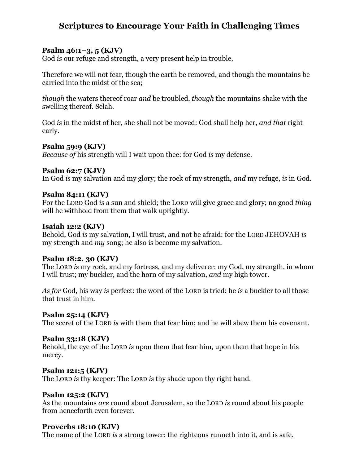# **Scriptures to Encourage Your Faith in Challenging Times**

### **Psalm 46:1–3, 5 (KJV)**

God *is* our refuge and strength, a very present help in trouble.

Therefore we will not fear, though the earth be removed, and though the mountains be carried into the midst of the sea;

*though* the waters thereof roar *and* be troubled, *though* the mountains shake with the swelling thereof. Selah.

God *is* in the midst of her, she shall not be moved: God shall help her, *and that* right early.

#### **Psalm 59:9 (KJV)**

*Because of* his strength will I wait upon thee: for God *is* my defense.

#### **Psalm 62:7 (KJV)**

In God *is* my salvation and my glory; the rock of my strength, *and* my refuge, *is* in God.

#### **Psalm 84:11 (KJV)**

For the LORD God *is* a sun and shield; the LORD will give grace and glory; no good *thing* will he withhold from them that walk uprightly.

#### **Isaiah 12:2 (KJV)**

Behold, God *is* my salvation, I will trust, and not be afraid: for the LORD JEHOVAH *is*  my strength and *my* song; he also is become my salvation.

#### **Psalm 18:2, 30 (KJV)**

The LORD *is* my rock, and my fortress, and my deliverer; my God, my strength, in whom I will trust; my buckler, and the horn of my salvation, *and* my high tower.

*As for* God, his way *is* perfect: the word of the LORD is tried: he *is* a buckler to all those that trust in him.

#### **Psalm 25:14 (KJV)**

The secret of the LORD *is* with them that fear him; and he will shew them his covenant.

#### **Psalm 33:18 (KJV)**

Behold, the eye of the LORD *is* upon them that fear him, upon them that hope in his mercy.

#### **Psalm 121:5 (KJV)**

The LORD *is* thy keeper: The LORD *is* thy shade upon thy right hand.

#### **Psalm 125:2 (KJV)**

As the mountains *are* round about Jerusalem, so the LORD *is* round about his people from henceforth even forever.

#### **Proverbs 18:10 (KJV)**

The name of the LORD *is* a strong tower: the righteous runneth into it, and is safe.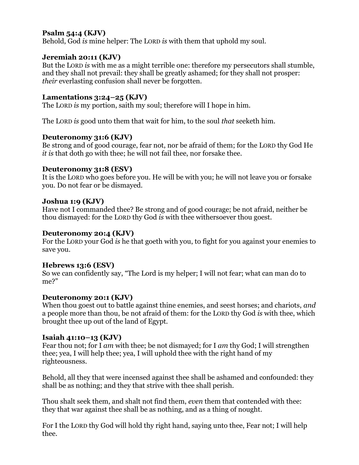### **Psalm 54:4 (KJV)**

Behold, God *is* mine helper: The LORD *is* with them that uphold my soul.

#### **Jeremiah 20:11 (KJV)**

But the LORD *is* with me as a might terrible one: therefore my persecutors shall stumble, and they shall not prevail: they shall be greatly ashamed; for they shall not prosper: *their* everlasting confusion shall never be forgotten.

#### **Lamentations 3:24–25 (KJV)**

The LORD *is* my portion, saith my soul; therefore will I hope in him.

The LORD *is* good unto them that wait for him, to the soul *that* seeketh him.

#### **Deuteronomy 31:6 (KJV)**

Be strong and of good courage, fear not, nor be afraid of them; for the LORD thy God He *it is* that doth go with thee; he will not fail thee, nor forsake thee.

#### **Deuteronomy 31:8 (ESV)**

It is the LORD who goes before you. He will be with you; he will not leave you or forsake you. Do not fear or be dismayed.

#### **Joshua 1:9 (KJV)**

Have not I commanded thee? Be strong and of good courage; be not afraid, neither be thou dismayed: for the LORD thy God *is* with thee withersoever thou goest.

#### **Deuteronomy 20:4 (KJV)**

For the LORD your God *is* he that goeth with you, to fight for you against your enemies to save you.

#### **Hebrews 13:6 (ESV)**

So we can confidently say, "The Lord is my helper; I will not fear; what can man do to me?"

#### **Deuteronomy 20:1 (KJV)**

When thou goest out to battle against thine enemies, and seest horses; and chariots, *and*  a people more than thou, be not afraid of them: for the LORD thy God *is* with thee, which brought thee up out of the land of Egypt.

#### **Isaiah 41:10–13 (KJV)**

Fear thou not; for I *am* with thee; be not dismayed; for I *am* thy God; I will strengthen thee; yea, I will help thee; yea, I will uphold thee with the right hand of my righteousness.

Behold, all they that were incensed against thee shall be ashamed and confounded: they shall be as nothing; and they that strive with thee shall perish.

Thou shalt seek them, and shalt not find them, *even* them that contended with thee: they that war against thee shall be as nothing, and as a thing of nought.

For I the LORD thy God will hold thy right hand, saying unto thee, Fear not; I will help thee.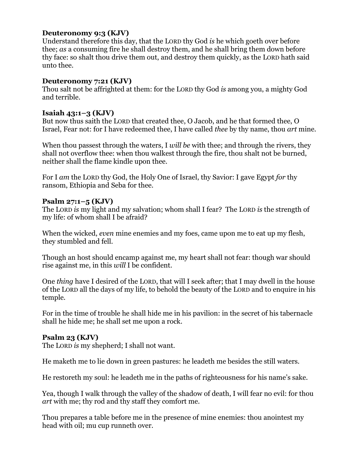### **Deuteronomy 9:3 (KJV)**

Understand therefore this day, that the LORD thy God *is* he which goeth over before thee; *as* a consuming fire he shall destroy them, and he shall bring them down before thy face: so shalt thou drive them out, and destroy them quickly, as the LORD hath said unto thee.

#### **Deuteronomy 7:21 (KJV)**

Thou salt not be affrighted at them: for the LORD thy God *is* among you, a mighty God and terrible.

#### **Isaiah 43:1–3 (KJV)**

But now thus saith the LORD that created thee, O Jacob, and he that formed thee, O Israel, Fear not: for I have redeemed thee, I have called *thee* by thy name, thou *art* mine.

When thou passest through the waters, I *will be* with thee; and through the rivers, they shall not overflow thee: when thou walkest through the fire, thou shalt not be burned, neither shall the flame kindle upon thee.

For I *am* the LORD thy God, the Holy One of Israel, thy Savior: I gave Egypt *for* thy ransom, Ethiopia and Seba for thee.

#### **Psalm 27:1–5 (KJV)**

The LORD *is* my light and my salvation; whom shall I fear? The LORD *is* the strength of my life: of whom shall I be afraid?

When the wicked, *even* mine enemies and my foes, came upon me to eat up my flesh, they stumbled and fell.

Though an host should encamp against me, my heart shall not fear: though war should rise against me, in this *will* I be confident.

One *thing* have I desired of the LORD, that will I seek after; that I may dwell in the house of the LORD all the days of my life, to behold the beauty of the LORD and to enquire in his temple.

For in the time of trouble he shall hide me in his pavilion: in the secret of his tabernacle shall he hide me; he shall set me upon a rock.

#### **Psalm 23 (KJV)**

The LORD *is* my shepherd; I shall not want.

He maketh me to lie down in green pastures: he leadeth me besides the still waters.

He restoreth my soul: he leadeth me in the paths of righteousness for his name's sake.

Yea, though I walk through the valley of the shadow of death, I will fear no evil: for thou *art* with me; thy rod and thy staff they comfort me.

Thou prepares a table before me in the presence of mine enemies: thou anointest my head with oil; mu cup runneth over.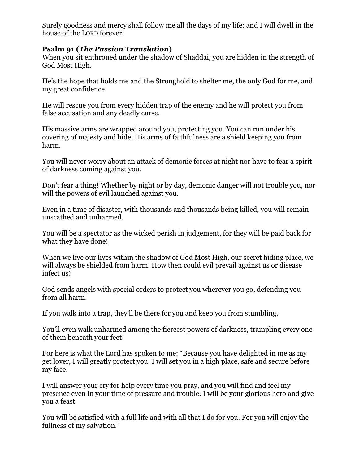Surely goodness and mercy shall follow me all the days of my life: and I will dwell in the house of the LORD forever.

### **Psalm 91 (***The Passion Translation***)**

When you sit enthroned under the shadow of Shaddai, you are hidden in the strength of God Most High.

He's the hope that holds me and the Stronghold to shelter me, the only God for me, and my great confidence.

He will rescue you from every hidden trap of the enemy and he will protect you from false accusation and any deadly curse.

His massive arms are wrapped around you, protecting you. You can run under his covering of majesty and hide. His arms of faithfulness are a shield keeping you from harm.

You will never worry about an attack of demonic forces at night nor have to fear a spirit of darkness coming against you.

Don't fear a thing! Whether by night or by day, demonic danger will not trouble you, nor will the powers of evil launched against you.

Even in a time of disaster, with thousands and thousands being killed, you will remain unscathed and unharmed.

You will be a spectator as the wicked perish in judgement, for they will be paid back for what they have done!

When we live our lives within the shadow of God Most High, our secret hiding place, we will always be shielded from harm. How then could evil prevail against us or disease infect us?

God sends angels with special orders to protect you wherever you go, defending you from all harm.

If you walk into a trap, they'll be there for you and keep you from stumbling.

You'll even walk unharmed among the fiercest powers of darkness, trampling every one of them beneath your feet!

For here is what the Lord has spoken to me: "Because you have delighted in me as my get lover, I will greatly protect you. I will set you in a high place, safe and secure before my face.

I will answer your cry for help every time you pray, and you will find and feel my presence even in your time of pressure and trouble. I will be your glorious hero and give you a feast.

You will be satisfied with a full life and with all that I do for you. For you will enjoy the fullness of my salvation."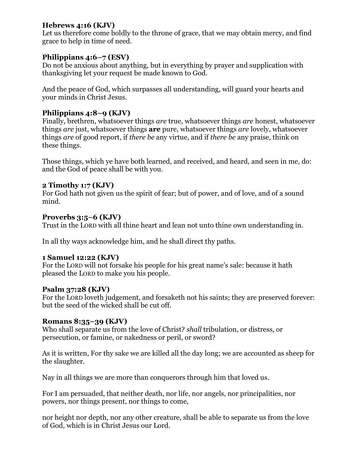### **Hebrews 4:16 (KJV)**

Let us therefore come boldly to the throne of grace, that we may obtain mercy, and find grace to help in time of need.

# **Philippians 4:6–7 (ESV)**

Do not be anxious about anything, but in everything by prayer and supplication with thanksgiving let your request be made known to God.

And the peace of God, which surpasses all understanding, will guard your hearts and your minds in Christ Jesus.

# **Philippians 4:8–9 (KJV)**

Finally, brethren, whatsoever things *are* true, whatsoever things *are* honest, whatsoever things *are* just, whatsoever things **are** pure, whatsoever things *are* lovely, whatsoever things *are* of good report, if *there be* any virtue, and if *there be* any praise, think on these things.

Those things, which ye have both learned, and received, and heard, and seen in me, do: and the God of peace shall be with you.

# **2 Timothy 1:7 (KJV)**

For God hath not given us the spirit of fear; but of power, and of love, and of a sound mind.

### **Proverbs 3:5–6 (KJV)**

Trust in the LORD with all thine heart and lean not unto thine own understanding in.

In all thy ways acknowledge him, and he shall direct thy paths.

### **1 Samuel 12:22 (KJV)**

For the LORD will not forsake his people for his great name's sale: because it hath pleased the LORD to make you his people.

### **Psalm 37:28 (KJV)**

For the LORD loveth judgement, and forsaketh not his saints; they are preserved forever: but the seed of the wicked shall be cut off.

### **Romans 8:35–39 (KJV)**

Who shall separate us from the love of Christ? *shall* tribulation, or distress, or persecution, or famine, or nakedness or peril, or sword?

As it is written, For thy sake we are killed all the day long; we are accounted as sheep for the slaughter.

Nay in all things we are more than conquerors through him that loved us.

For I am persuaded, that neither death, nor life, nor angels, nor principalities, nor powers, nor things present, nor things to come,

nor height nor depth, nor any other creature, shall be able to separate us from the love of God, which is in Christ Jesus our Lord.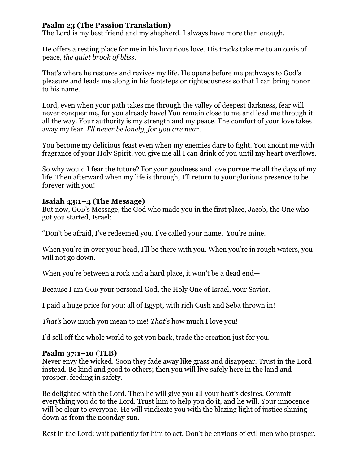### **Psalm 23 (The Passion Translation)**

The Lord is my best friend and my shepherd. I always have more than enough.

He offers a resting place for me in his luxurious love. His tracks take me to an oasis of peace, *the quiet brook of bliss*.

That's where he restores and revives my life. He opens before me pathways to God's pleasure and leads me along in his footsteps or righteousness so that I can bring honor to his name.

Lord, even when your path takes me through the valley of deepest darkness, fear will never conquer me, for you already have! You remain close to me and lead me through it all the way. Your authority is my strength and my peace. The comfort of your love takes away my fear. *I'll never be lonely, for you are near*.

You become my delicious feast even when my enemies dare to fight. You anoint me with fragrance of your Holy Spirit, you give me all I can drink of you until my heart overflows.

So why would I fear the future? For your goodness and love pursue me all the days of my life. Then afterward when my life is through, I'll return to your glorious presence to be forever with you!

### **Isaiah 43:1–4 (The Message)**

But now, GOD's Message, the God who made you in the first place, Jacob, the One who got you started, Israel:

"Don't be afraid, I've redeemed you. I've called your name. You're mine.

When you're in over your head, I'll be there with you. When you're in rough waters, you will not go down.

When you're between a rock and a hard place, it won't be a dead end—

Because I am GOD your personal God, the Holy One of Israel, your Savior.

I paid a huge price for you: all of Egypt, with rich Cush and Seba thrown in!

*That's* how much you mean to me! *That's* how much I love you!

I'd sell off the whole world to get you back, trade the creation just for you.

### **Psalm 37:1–10 (TLB)**

Never envy the wicked. Soon they fade away like grass and disappear. Trust in the Lord instead. Be kind and good to others; then you will live safely here in the land and prosper, feeding in safety.

Be delighted with the Lord. Then he will give you all your heat's desires. Commit everything you do to the Lord. Trust him to help you do it, and he will. Your innocence will be clear to everyone. He will vindicate you with the blazing light of justice shining down as from the noonday sun.

Rest in the Lord; wait patiently for him to act. Don't be envious of evil men who prosper.